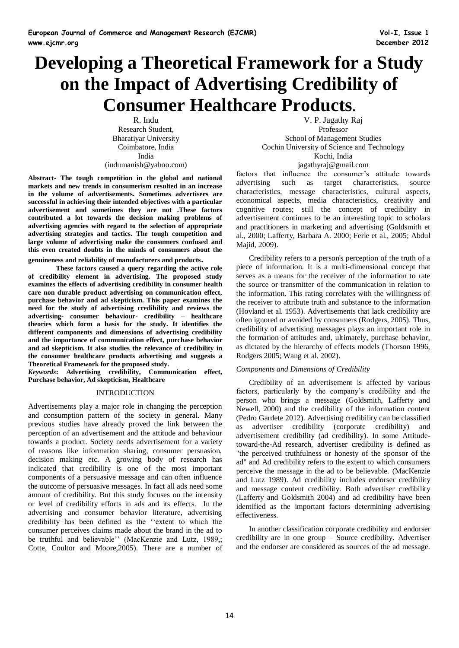# **Developing a Theoretical Framework for a Study on the Impact of Advertising Credibility of Consumer Healthcare Products.**

R. Indu Research Student, Bharatiyar University Coimbatore, India India (indumanish@yahoo.com)

**Abstract- The tough competition in the global and national markets and new trends in consumerism resulted in an increase in the volume of advertisements. Sometimes advertisers are successful in achieving their intended objectives with a particular advertisement and sometimes they are not .These factors contributed a lot towards the decision making problems of advertising agencies with regard to the selection of appropriate advertising strategies and tactics. The tough competition and large volume of advertising make the consumers confused and this even created doubts in the minds of consumers about the** 

**genuineness and reliability of manufacturers and products.** 

**These factors caused a query regarding the active role of credibility element in advertising. The proposed study examines the effects of advertising credibility in consumer health care non durable product advertising on communication effect, purchase behavior and ad skepticism. This paper examines the need for the study of advertising credibility and reviews the advertising- consumer behaviour- credibility – healthcare theories which form a basis for the study. It identifies the different components and dimensions of advertising credibility and the importance of communication effect, purchase behavior and ad skepticism. It also studies the relevance of credibility in the consumer healthcare products advertising and suggests a Theoretical Framework for the proposed study.**

*Keywords***: Advertising credibility, Communication effect, Purchase behavior, Ad skepticism, Healthcare**

## INTRODUCTION

Advertisements play a major role in changing the perception and consumption pattern of the society in general. Many previous studies have already proved the link between the perception of an advertisement and the attitude and behaviour towards a product. Society needs advertisement for a variety of reasons like information sharing, consumer persuasion, decision making etc. A growing body of research has indicated that credibility is one of the most important components of a persuasive message and can often influence the outcome of persuasive messages. In fact all ads need some amount of credibility. But this study focuses on the intensity or level of credibility efforts in ads and its effects. In the advertising and consumer behavior literature, advertising credibility has been defined as the ''extent to which the consumer perceives claims made about the brand in the ad to be truthful and believable'' (MacKenzie and Lutz, 1989,; Cotte, Coultor and Moore,2005). There are a number of

V. P. Jagathy Raj Professor School of Management Studies Cochin University of Science and Technology Kochi, India jagathyraj@gmail.com

factors that influence the consumer's attitude towards advertising such as target characteristics, source characteristics, message characteristics, cultural aspects, economical aspects, media characteristics, creativity and cognitive routes; still the concept of credibility in advertisement continues to be an interesting topic to scholars and practitioners in marketing and advertising (Goldsmith et al., 2000; Lafferty, Barbara A. 2000; Ferle et al., 2005; Abdul Majid, 2009).

Credibility refers to a person's perception of the truth of a piece of information. It is a multi-dimensional concept that serves as a means for the receiver of the information to rate the source or transmitter of the communication in relation to the information. This rating correlates with the willingness of the receiver to attribute truth and substance to the information (Hovland et al. 1953). Advertisements that lack credibility are often ignored or avoided by consumers (Rodgers, 2005). Thus, credibility of advertising messages plays an important role in the formation of attitudes and, ultimately, purchase behavior, as dictated by the hierarchy of effects models (Thorson 1996, Rodgers 2005; Wang et al. 2002).

## *Components and Dimensions of Credibility*

Credibility of an advertisement is affected by various factors, particularly by the company's credibility and the person who brings a message (Goldsmith, Lafferty and Newell, 2000) and the credibility of the information content (Pedro Gardete 2012). Advertising credibility can be classified as advertiser credibility (corporate credibility) and advertisement credibility (ad credibility). In some Attitudetoward-the-Ad research, advertiser credibility is defined as "the perceived truthfulness or honesty of the sponsor of the ad" and Ad credibility refers to the extent to which consumers perceive the message in the ad to be believable. (MacKenzie and Lutz 1989). Ad credibility includes endorser credibility and message content credibility. Both advertiser credibility (Lafferty and Goldsmith 2004) and ad credibility have been identified as the important factors determining advertising effectiveness.

In another classification corporate credibility and endorser credibility are in one group – Source credibility. Advertiser and the endorser are considered as sources of the ad message.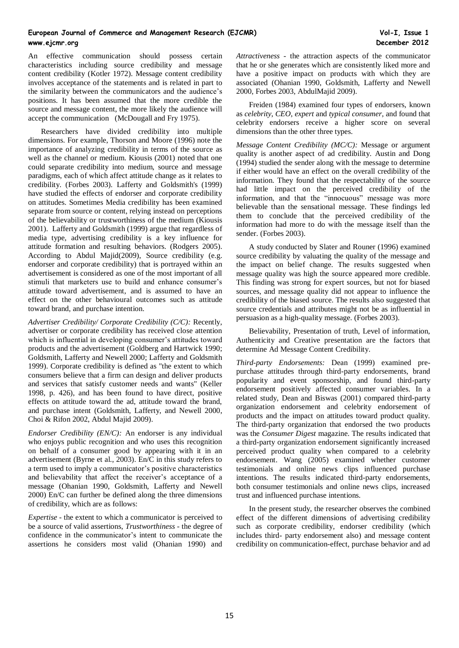An effective communication should possess certain characteristics including source credibility and message content credibility (Kotler 1972). Message content credibility involves acceptance of the statements and is related in part to the similarity between the communicators and the audience's positions. It has been assumed that the more credible the source and message content, the more likely the audience will accept the communication (McDougall and Fry 1975).

Researchers have divided credibility into multiple dimensions. For example, Thorson and Moore (1996) note the importance of analyzing credibility in terms of the source as well as the channel or medium. Kiousis (2001) noted that one could separate credibility into medium, source and message paradigms, each of which affect attitude change as it relates to credibility. (Forbes 2003)*.* Lafferty and Goldsmith's (1999) have studied the effects of endorser and corporate credibility on attitudes. Sometimes Media credibility has been examined separate from source or content, relying instead on perceptions of the believability or trustworthiness of the medium (Kiousis 2001). Lafferty and Goldsmith (1999) argue that regardless of media type, advertising credibility is a key influence for attitude formation and resulting behaviors. (Rodgers 2005). According to Abdul Majid(2009), Source credibility (e.g. endorser and corporate credibility) that is portrayed within an advertisement is considered as one of the most important of all stimuli that marketers use to build and enhance consumer's attitude toward advertisement, and is assumed to have an effect on the other behavioural outcomes such as attitude toward brand, and purchase intention.

*Advertiser Credibility/ Corporate Credibility (C/C):* Recently, advertiser or corporate credibility has received close attention which is influential in developing consumer's attitudes toward products and the advertisement (Goldberg and Hartwick 1990; Goldsmith, Lafferty and Newell 2000; Lafferty and Goldsmith 1999). Corporate credibility is defined as "the extent to which consumers believe that a firm can design and deliver products and services that satisfy customer needs and wants" (Keller 1998, p. 426), and has been found to have direct, positive effects on attitude toward the ad, attitude toward the brand, and purchase intent (Goldsmith, Lafferty, and Newell 2000, Choi & Rifon 2002, Abdul Majid 2009).

*Endorser Credibility (EN/C):* An endorser is any individual who enjoys public recognition and who uses this recognition on behalf of a consumer good by appearing with it in an advertisement (Byrne et al., 2003). En/C in this study refers to a term used to imply a communicator's positive characteristics and believability that affect the receiver's acceptance of a message (Ohanian 1990, Goldsmith, Lafferty and Newell 2000) En/C can further be defined along the three dimensions of credibility, which are as follows:

*Expertise* - the extent to which a communicator is perceived to be a source of valid assertions, *Trustworthiness* - the degree of confidence in the communicator's intent to communicate the assertions he considers most valid (Ohanian 1990) and *Attractiveness* - the attraction aspects of the communicator that he or she generates which are consistently liked more and have a positive impact on products with which they are associated (Ohanian 1990, Goldsmith, Lafferty and Newell 2000, Forbes 2003, AbdulMajid 2009).

Freiden (1984) examined four types of endorsers, known as *celebrity*, *CEO*, *expert* and *typical consumer*, and found that celebrity endorsers receive a higher score on several dimensions than the other three types.

*Message Content Credibility (MC/C):* Message or argument quality is another aspect of ad credibility. Austin and Dong (1994) studied the sender along with the message to determine if either would have an effect on the overall credibility of the information. They found that the respectability of the source had little impact on the perceived credibility of the information, and that the "innocuous" message was more believable than the sensational message. These findings led them to conclude that the perceived credibility of the information had more to do with the message itself than the sender. (Forbes 2003).

A study conducted by Slater and Rouner (1996) examined source credibility by valuating the quality of the message and the impact on belief change. The results suggested when message quality was high the source appeared more credible. This finding was strong for expert sources, but not for biased sources, and message quality did not appear to influence the credibility of the biased source. The results also suggested that source credentials and attributes might not be as influential in persuasion as a high-quality message. (Forbes 2003).

Believability, Presentation of truth, Level of information, Authenticity and Creative presentation are the factors that determine Ad Message Content Credibility.

*Third-party Endorsements:* Dean (1999) examined prepurchase attitudes through third-party endorsements, brand popularity and event sponsorship, and found third-party endorsement positively affected consumer variables. In a related study, Dean and Biswas (2001) compared third-party organization endorsement and celebrity endorsement of products and the impact on attitudes toward product quality. The third-party organization that endorsed the two products was the *Consumer Digest* magazine. The results indicated that a third-party organization endorsement significantly increased perceived product quality when compared to a celebrity endorsement. Wang (2005) examined whether customer testimonials and online news clips influenced purchase intentions. The results indicated third-party endorsements, both consumer testimonials and online news clips, increased trust and influenced purchase intentions.

In the present study, the researcher observes the combined effect of the different dimensions of advertising credibility such as corporate credibility, endorser credibility (which includes third- party endorsement also) and message content credibility on communication-effect, purchase behavior and ad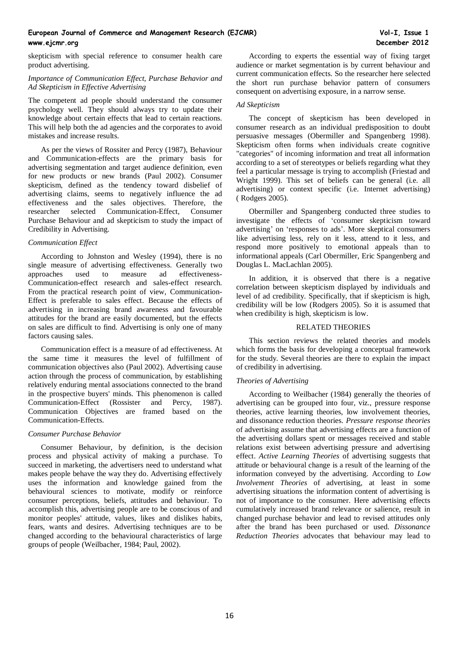skepticism with special reference to consumer health care product advertising.

## *Importance of Communication Effect, Purchase Behavior and Ad Skepticism in Effective Advertising*

The competent ad people should understand the consumer psychology well. They should always try to update their knowledge about certain effects that lead to certain reactions. This will help both the ad agencies and the corporates to avoid mistakes and increase results.

As per the views of Rossiter and Percy (1987), Behaviour and Communication-effects are the primary basis for advertising segmentation and target audience definition, even for new products or new brands (Paul 2002). Consumer skepticism, defined as the tendency toward disbelief of advertising claims, seems to negatively influence the ad effectiveness and the sales objectives. Therefore, the researcher selected Communication-Effect, Consumer Purchase Behaviour and ad skepticism to study the impact of Credibility in Advertising.

## *Communication Effect*

According to Johnston and Wesley (1994), there is no single measure of advertising effectiveness. Generally two approaches used to measure ad effectiveness-Communication-effect research and sales-effect research. From the practical research point of view, Communication-Effect is preferable to sales effect. Because the effects of advertising in increasing brand awareness and favourable attitudes for the brand are easily documented, but the effects on sales are difficult to find. Advertising is only one of many factors causing sales.

Communication effect is a measure of ad effectiveness. At the same time it measures the level of fulfillment of communication objectives also (Paul 2002). Advertising cause action through the process of communication, by establishing relatively enduring mental associations connected to the brand in the prospective buyers' minds. This phenomenon is called Communication-Effect (Rossister and Percy, 1987). Communication Objectives are framed based on the Communication-Effects.

#### *Consumer Purchase Behavior*

Consumer Behaviour, by definition, is the decision process and physical activity of making a purchase. To succeed in marketing, the advertisers need to understand what makes people behave the way they do. Advertising effectively uses the information and knowledge gained from the behavioural sciences to motivate, modify or reinforce consumer perceptions, beliefs, attitudes and behaviour. To accomplish this, advertising people are to be conscious of and monitor peoples' attitude, values, likes and dislikes habits, fears, wants and desires. Advertising techniques are to be changed according to the behavioural characteristics of large groups of people (Weilbacher, 1984; Paul, 2002).

According to experts the essential way of fixing target audience or market segmentation is by current behaviour and current communication effects. So the researcher here selected the short run purchase behavior pattern of consumers consequent on advertising exposure, in a narrow sense.

## *Ad Skepticism*

The concept of skepticism has been developed in consumer research as an individual predisposition to doubt persuasive messages (Obermiller and Spangenberg 1998). Skepticism often forms when individuals create cognitive "categories" of incoming information and treat all information according to a set of stereotypes or beliefs regarding what they feel a particular message is trying to accomplish (Friestad and Wright 1999). This set of beliefs can be general (i.e. all advertising) or context specific (i.e. Internet advertising) ( Rodgers 2005).

Obermiller and Spangenberg conducted three studies to investigate the effects of 'consumer skepticism toward advertising' on 'responses to ads'. More skeptical consumers like advertising less, rely on it less, attend to it less, and respond more positively to emotional appeals than to informational appeals (Carl Obermiller, Eric Spangenberg and Douglas L. MacLachlan 2005).

In addition, it is observed that there is a negative correlation between skepticism displayed by individuals and level of ad credibility. Specifically, that if skepticism is high, credibility will be low (Rodgers 2005). So it is assumed that when credibility is high, skepticism is low.

#### RELATED THEORIES

This section reviews the related theories and models which forms the basis for developing a conceptual framework for the study. Several theories are there to explain the impact of credibility in advertising.

#### *Theories of Advertising*

According to Weilbacher (1984) generally the theories of advertising can be grouped into four, viz., pressure response theories, active learning theories, low involvement theories, and dissonance reduction theories. *Pressure response theories* of advertising assume that advertising effects are a function of the advertising dollars spent or messages received and stable relations exist between advertising pressure and advertising effect. *Active Learning Theories* of advertising suggests that attitude or behavioural change is a result of the learning of the information conveyed by the advertising. According to *Low Involvement Theories* of advertising, at least in some advertising situations the information content of advertising is not of importance to the consumer. Here advertising effects cumulatively increased brand relevance or salience, result in changed purchase behavior and lead to revised attitudes only after the brand has been purchased or used. *Dissonance Reduction Theories* advocates that behaviour may lead to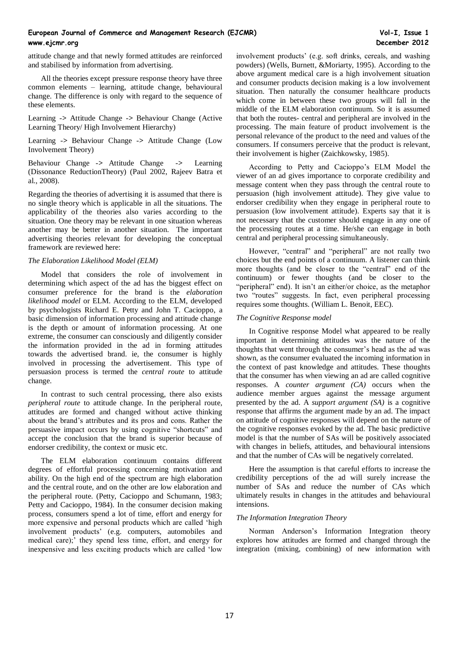attitude change and that newly formed attitudes are reinforced and stabilised by information from advertising.

All the theories except pressure response theory have three common elements – learning, attitude change, behavioural change. The difference is only with regard to the sequence of these elements.

Learning -*>* Attitude Change -*>* Behaviour Change (Active Learning Theory/ High Involvement Hierarchy)

Learning -*>* Behaviour Change -*>* Attitude Change (Low Involvement Theory)

Behaviour Change -*>* Attitude Change -*>* Learning (Dissonance ReductionTheory) (Paul 2002, Rajeev Batra et al., 2008).

Regarding the theories of advertising it is assumed that there is no single theory which is applicable in all the situations. The applicability of the theories also varies according to the situation. One theory may be relevant in one situation whereas another may be better in another situation. The important advertising theories relevant for developing the conceptual framework are reviewed here:

## *The Elaboration Likelihood Model (ELM)*

Model that considers the role of involvement in determining which aspect of the ad has the biggest effect on consumer preference for the brand is the *elaboration likelihood model* or ELM. According to the ELM, developed by psychologists Richard E. Petty and John T. Cacioppo, a basic dimension of information processing and attitude change is the depth or amount of information processing. At one extreme, the consumer can consciously and diligently consider the information provided in the ad in forming attitudes towards the advertised brand. ie, the consumer is highly involved in processing the advertisement. This type of persuasion process is termed the *central route* to attitude change.

In contrast to such central processing, there also exists *peripheral route* to attitude change. In the peripheral route, attitudes are formed and changed without active thinking about the brand's attributes and its pros and cons. Rather the persuasive impact occurs by using cognitive "shortcuts" and accept the conclusion that the brand is superior because of endorser credibility, the context or music etc.

The ELM elaboration continuum contains different degrees of effortful processing concerning motivation and ability. On the high end of the spectrum are high elaboration and the central route, and on the other are low elaboration and the peripheral route. (Petty, Cacioppo and Schumann, 1983; Petty and Cacioppo, 1984). In the consumer decision making process, consumers spend a lot of time, effort and energy for more expensive and personal products which are called 'high involvement products' (e.g. computers, automobiles and medical care);' they spend less time, effort, and energy for inexpensive and less exciting products which are called 'low

involvement products' (e.g. soft drinks, cereals, and washing powders) (Wells, Burnett, &Moriarty, 1995). According to the above argument medical care is a high involvement situation and consumer products decision making is a low involvement situation. Then naturally the consumer healthcare products which come in between these two groups will fall in the middle of the ELM elaboration continuum. So it is assumed that both the routes- central and peripheral are involved in the processing. The main feature of product involvement is the personal relevance of the product to the need and values of the consumers. If consumers perceive that the product is relevant, their involvement is higher (Zaichkowsky, 1985).

According to Petty and Cacioppo's ELM Model the viewer of an ad gives importance to corporate credibility and message content when they pass through the central route to persuasion (high involvement attitude). They give value to endorser credibility when they engage in peripheral route to persuasion (low involvement attitude). Experts say that it is not necessary that the customer should engage in any one of the processing routes at a time. He/she can engage in both central and peripheral processing simultaneously.

However, "central" and "peripheral" are not really two choices but the end points of a continuum. A listener can think more thoughts (and be closer to the "central" end of the continuum) or fewer thoughts (and be closer to the "peripheral" end). It isn't an either/or choice, as the metaphor two "routes" suggests. In fact, even peripheral processing requires some thoughts. (William L. Benoit, EEC).

## *The Cognitive Response model*

In Cognitive response Model what appeared to be really important in determining attitudes was the nature of the thoughts that went through the consumer's head as the ad was shown, as the consumer evaluated the incoming information in the context of past knowledge and attitudes. These thoughts that the consumer has when viewing an ad are called cognitive responses. A *counter argument (CA)* occurs when the audience member argues against the message argument presented by the ad. A *support argument (SA)* is a cognitive response that affirms the argument made by an ad. The impact on attitude of cognitive responses will depend on the nature of the cognitive responses evoked by the ad. The basic predictive model is that the number of SAs will be positively associated with changes in beliefs, attitudes, and behavioural intensions and that the number of CAs will be negatively correlated.

Here the assumption is that careful efforts to increase the credibility perceptions of the ad will surely increase the number of SAs and reduce the number of CAs which ultimately results in changes in the attitudes and behavioural intensions.

## *The Information Integration Theory*

Norman Anderson's Information Integration theory explores how attitudes are formed and changed through the integration (mixing, combining) of new information with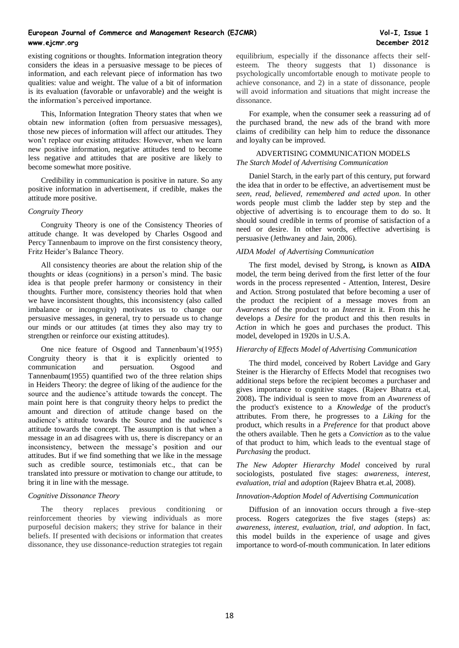existing cognitions or thoughts. Information integration theory considers the ideas in a persuasive message to be pieces of information, and each relevant piece of information has two qualities: value and weight. The value of a bit of information is its evaluation (favorable or unfavorable) and the weight is the information's perceived importance.

This, Information Integration Theory states that when we obtain new information (often from persuasive messages), those new pieces of information will affect our attitudes. They won't replace our existing attitudes: However, when we learn new positive information, negative attitudes tend to become less negative and attitudes that are positive are likely to become somewhat more positive.

Credibility in communication is positive in nature. So any positive information in advertisement, if credible, makes the attitude more positive.

#### *Congruity Theory*

Congruity Theory is one of the Consistency Theories of attitude change. It was developed by Charles Osgood and Percy Tannenbaum to improve on the first consistency theory, Fritz Heider's Balance Theory.

All consistency theories are about the relation ship of the thoughts or ideas (cognitions) in a person's mind. The basic idea is that people prefer harmony or consistency in their thoughts. Further more, consistency theories hold that when we have inconsistent thoughts, this inconsistency (also called imbalance or incongruity) motivates us to change our persuasive messages, in general, try to persuade us to change our minds or our attitudes (at times they also may try to strengthen or reinforce our existing attitudes).

One nice feature of Osgood and Tannenbaum's(1955) Congruity theory is that it is explicitly oriented to communication and persuation. Osgood and Tannenbaum(1955) quantified two of the three relation ships in Heiders Theory: the degree of liking of the audience for the source and the audience's attitude towards the concept. The main point here is that congruity theory helps to predict the amount and direction of attitude change based on the audience's attitude towards the Source and the audience's attitude towards the concept. The assumption is that when a message in an ad disagrees with us, there is discrepancy or an inconsistency, between the message's position and our attitudes. But if we find something that we like in the message such as credible source, testimonials etc., that can be translated into pressure or motivation to change our attitude, to bring it in line with the message.

## *Cognitive Dissonance Theory*

The theory replaces previous conditioning or reinforcement theories by viewing individuals as more purposeful decision makers; they strive for balance in their beliefs. If presented with decisions or information that creates dissonance, they use dissonance-reduction strategies tot regain equilibrium, especially if the dissonance affects their selfesteem. The theory suggests that 1) dissonance is psychologically uncomfortable enough to motivate people to achieve consonance, and 2) in a state of dissonance, people will avoid information and situations that might increase the dissonance.

For example, when the consumer seek a reassuring ad of the purchased brand, the new ads of the brand with more claims of credibility can help him to reduce the dissonance and loyalty can be improved.

## ADVERTISING COMMUNICATION MODELS *The Starch Model of Advertising Communication*

Daniel Starch, in the early part of this century, put forward the idea that in order to be effective, an advertisement must be *seen, read, believed, remembered and acted upon*. In other words people must climb the ladder step by step and the objective of advertising is to encourage them to do so. It should sound credible in terms of promise of satisfaction of a need or desire. In other words, effective advertising is persuasive (Jethwaney and Jain, 2006).

# *AIDA Model of Advertising Communication*

The first model, devised by Strong**,** is known as **AIDA**  model, the term being derived from the first letter of the four words in the process represented - Attention, Interest, Desire and Action. Strong postulated that before becoming a user of the product the recipient of a message moves from an *Awareness* of the product to an *Interest* in it. From this he develops a *Desire* for the product and this then results in *Action* in which he goes and purchases the product. This model, developed in 1920s in U.S.A.

#### *Hierarchy of Effects Model of Advertising Communication*

The third model, conceived by Robert Lavidge and Gary Steiner is the Hierarchy of Effects Model that recognises two additional steps before the recipient becomes a purchaser and gives importance to cognitive stages. (Rajeev Bhatra et.al, 2008)**.** The individual is seen to move from an *Awareness* of the product's existence to a *Knowledge* of the product's attributes. From there, he progresses to a *Liking* for the product, which results in a *Preference* for that product above the others available. Then he gets a *Conviction* as to the value of that product to him, which leads to the eventual stage of *Purchasing* the product.

*The New Adopter Hierarchy Model* conceived by rural sociologists, postulated five stages: *awareness*, *interest, evaluation, trial* and *adoption* (Rajeev Bhatra et.al, 2008).

#### *Innovation-Adoption Model of Advertising Communication*

Diffusion of an innovation occurs through a five–step process. Rogers categorizes the five stages (steps) as: *awareness, interest, evaluation, trial, and adoption*. In fact, this model builds in the experience of usage and gives importance to word-of-mouth communication. In later editions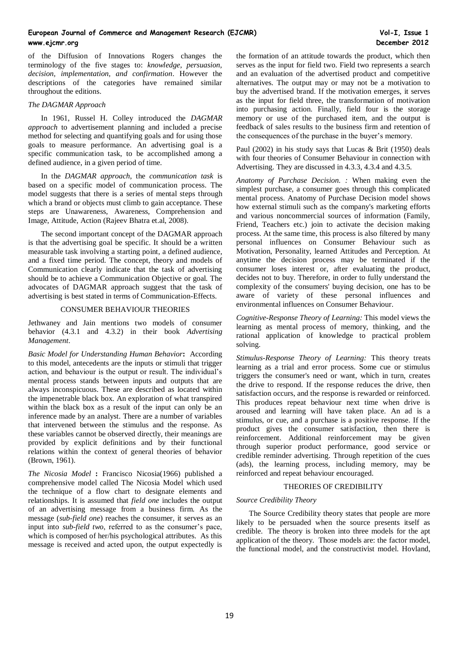of the Diffusion of Innovations Rogers changes the terminology of the five stages to: *knowledge, persuasion, decision, implementation, and confirmation*. However the descriptions of the categories have remained similar throughout the editions.

#### *The DAGMAR Approach*

In 1961, Russel H. Colley introduced the *DAGMAR approach* to advertisement planning and included a precise method for selecting and quantifying goals and for using those goals to measure performance. An advertising goal is a specific communication task, to be accomplished among a defined audience, in a given period of time.

In the *DAGMAR approach*, the *communication task* is based on a specific model of communication process. The model suggests that there is a series of mental steps through which a brand or objects must climb to gain acceptance. These steps are Unawareness, Awareness, Comprehension and Image, Attitude, Action (Rajeev Bhatra et.al, 2008).

The second important concept of the DAGMAR approach is that the advertising goal be specific. It should be a written measurable task involving a starting point, a defined audience, and a fixed time period. The concept, theory and models of Communication clearly indicate that the task of advertising should be to achieve a Communication Objective or goal. The advocates of DAGMAR approach suggest that the task of advertising is best stated in terms of Communication-Effects.

## CONSUMER BEHAVIOUR THEORIES

Jethwaney and Jain mentions two models of consumer behavior (4.3.1 and 4.3.2) in their book *Advertising Management*.

*Basic Model for Understanding Human Behavior***:** According to this model, antecedents are the inputs or stimuli that trigger action, and behaviour is the output or result. The individual's mental process stands between inputs and outputs that are always inconspicuous. These are described as located within the impenetrable black box. An exploration of what transpired within the black box as a result of the input can only be an inference made by an analyst. There are a number of variables that intervened between the stimulus and the response. As these variables cannot be observed directly, their meanings are provided by explicit definitions and by their functional relations within the context of general theories of behavior (Brown, 1961).

*The Nicosia Model* **:** Francisco Nicosia(1966) published a comprehensive model called The Nicosia Model which used the technique of a flow chart to designate elements and relationships. It is assumed that *field one* includes the output of an advertising message from a business firm. As the message (*sub-field one*) reaches the consumer, it serves as an input into *sub-field two*, referred to as the consumer's pace, which is composed of her/his psychological attributes. As this message is received and acted upon, the output expectedly is

the formation of an attitude towards the product, which then serves as the input for field two. Field two represents a search and an evaluation of the advertised product and competitive alternatives. The output may or may not be a motivation to buy the advertised brand. If the motivation emerges, it serves as the input for field three, the transformation of motivation into purchasing action. Finally, field four is the storage memory or use of the purchased item, and the output is feedback of sales results to the business firm and retention of the consequences of the purchase in the buyer's memory.

Paul (2002) in his study says that Lucas & Brit (1950) deals with four theories of Consumer Behaviour in connection with Advertising. They are discussed in 4.3.3, 4.3.4 and 4.3.5.

*Anatomy of Purchase Decision. :* When making even the simplest purchase, a consumer goes through this complicated mental process. Anatomy of Purchase Decision model shows how external stimuli such as the company's marketing efforts and various noncommercial sources of information (Family, Friend, Teachers etc.) join to activate the decision making process. At the same time, this process is also filtered by many personal influences on Consumer Behaviour such as Motivation, Personality, learned Attitudes and Perception. At anytime the decision process may be terminated if the consumer loses interest or, after evaluating the product, decides not to buy. Therefore, in order to fully understand the complexity of the consumers' buying decision, one has to be aware of variety of these personal influences and environmental influences on Consumer Behaviour.

*Cognitive-Response Theory of Learning:* This model views the learning as mental process of memory, thinking, and the rational application of knowledge to practical problem solving.

*Stimulus-Response Theory of Learning:* This theory treats learning as a trial and error process. Some cue or stimulus triggers the consumer's need or want, which in turn, creates the drive to respond. If the response reduces the drive, then satisfaction occurs, and the response is rewarded or reinforced. This produces repeat behaviour next time when drive is aroused and learning will have taken place. An ad is a stimulus, or cue, and a purchase is a positive response. If the product gives the consumer satisfaction, then there is reinforcement. Additional reinforcement may be given through superior product performance, good service or credible reminder advertising. Through repetition of the cues (ads), the learning process, including memory, may be reinforced and repeat behaviour encouraged.

## THEORIES OF CREDIBILITY

## *Source Credibility Theory*

The Source Credibility theory states that people are more likely to be persuaded when the source presents itself as credible. The theory is broken into three models for the apt application of the theory. Those models are: the factor model, the functional model, and the constructivist model. Hovland,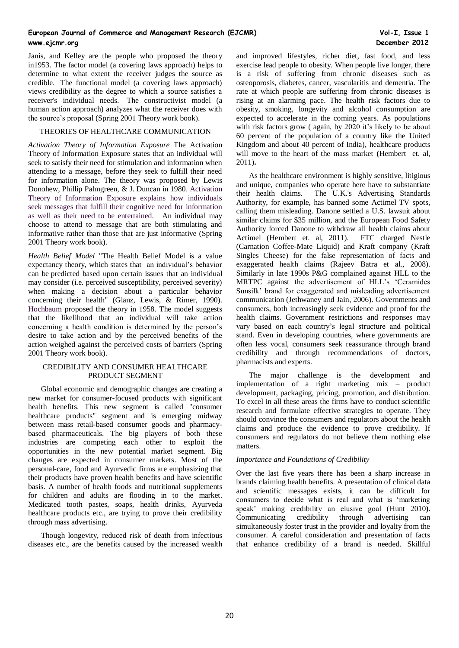Janis, and Kelley are the people who proposed the theory in1953. The factor model (a covering laws approach) helps to determine to what extent the receiver judges the source as credible. The functional model (a covering laws approach) views credibility as the degree to which a source satisfies a receiver's individual needs. The constructivist model (a human action approach) analyzes what the receiver does with the source's proposal (Spring 2001 Theory work book).

## THEORIES OF HEALTHCARE COMMUNICATION

*Activation Theory of Information Exposure* The Activation Theory of Information Exposure states that an individual will seek to satisfy their need for stimulation and information when attending to a message, before they seek to fulfill their need for information alone. The theory was proposed by Lewis Donohew, Phillip Palmgreen, & J. Duncan in 1980. Activation Theory of Information Exposure explains how individuals seek messages that fulfill their cognitive need for information as well as their need to be entertained. An individual may choose to attend to message that are both stimulating and informative rather than those that are just informative (Spring 2001 Theory work book).

*Health Belief Model* "The Health Belief Model is a value expectancy theory, which states that an individual's behavior can be predicted based upon certain issues that an individual may consider (i.e. perceived susceptibility, perceived severity) when making a decision about a particular behavior concerning their health" (Glanz, Lewis, & Rimer, 1990). Hochbaum proposed the theory in 1958. The model suggests that the likelihood that an individual will take action concerning a health condition is determined by the person's desire to take action and by the perceived benefits of the action weighed against the perceived costs of barriers (Spring 2001 Theory work book).

## CREDIBILITY AND CONSUMER HEALTHCARE PRODUCT SEGMENT

Global economic and demographic changes are creating a new market for consumer-focused products with significant health benefits. This new segment is called "consumer healthcare products" segment and is emerging midway between mass retail-based consumer goods and pharmacybased pharmaceuticals. The big players of both these industries are competing each other to exploit the opportunities in the new potential market segment. Big changes are expected in consumer markets. Most of the personal-care, food and Ayurvedic firms are emphasizing that their products have proven health benefits and have scientific basis. A number of health foods and nutritional supplements for children and adults are flooding in to the market. Medicated tooth pastes, soaps, health drinks, Ayurveda healthcare products etc., are trying to prove their credibility through mass advertising.

Though longevity, reduced risk of death from infectious diseases etc., are the benefits caused by the increased wealth and improved lifestyles, richer diet, fast food, and less exercise lead people to obesity. When people live longer, there is a risk of suffering from chronic diseases such as osteoporosis, diabetes, cancer, vascularitis and dementia. The rate at which people are suffering from chronic diseases is rising at an alarming pace. The health risk factors due to obesity, smoking, longevity and alcohol consumption are expected to accelerate in the coming years. As populations with risk factors grow ( again, by 2020 it's likely to be about 60 percent of the population of a country like the United Kingdom and about 40 percent of India), healthcare products will move to the heart of the mass market **(**Hembert et. al, 2011)**.** 

As the healthcare environment is highly sensitive, litigious and unique, companies who operate here have to substantiate their health claims. The U.K.'s Advertising Standards Authority, for example, has banned some Actimel TV spots, calling them misleading. Danone settled a U.S. lawsuit about similar claims for \$35 million, and the European Food Safety Authority forced Danone to withdraw all health claims about Actimel (Hembert et. al, 2011). FTC charged Nestle (Carnation Coffee-Mate Liquid) and Kraft company (Kraft Singles Cheese) for the false representation of facts and exaggerated health claims (Rajeev Batra et al., 2008). Similarly in late 1990s P&G complained against HLL to the MRTPC against the advertisement of HLL's 'Ceramides Sunsilk' brand for exaggerated and misleading advertisement communication (Jethwaney and Jain, 2006). Governments and consumers, both increasingly seek evidence and proof for the health claims. Government restrictions and responses may vary based on each country's legal structure and political stand. Even in developing countries, where governments are often less vocal, consumers seek reassurance through brand credibility and through recommendations of doctors, pharmacists and experts.

The major challenge is the development and implementation of a right marketing mix – product development, packaging, pricing, promotion, and distribution. To excel in all these areas the firms have to conduct scientific research and formulate effective strategies to operate. They should convince the consumers and regulators about the health claims and produce the evidence to prove credibility. If consumers and regulators do not believe them nothing else matters.

## *Importance and Foundations of Credibility*

Over the last five years there has been a sharp increase in brands claiming health benefits. A presentation of clinical data and scientific messages exists, it can be difficult for consumers to decide what is real and what is 'marketing speak' making credibility an elusive goal (Hunt 2010**).** Communicating credibility through advertising can simultaneously foster trust in the provider and loyalty from the consumer. A careful consideration and presentation of facts that enhance credibility of a brand is needed. Skillful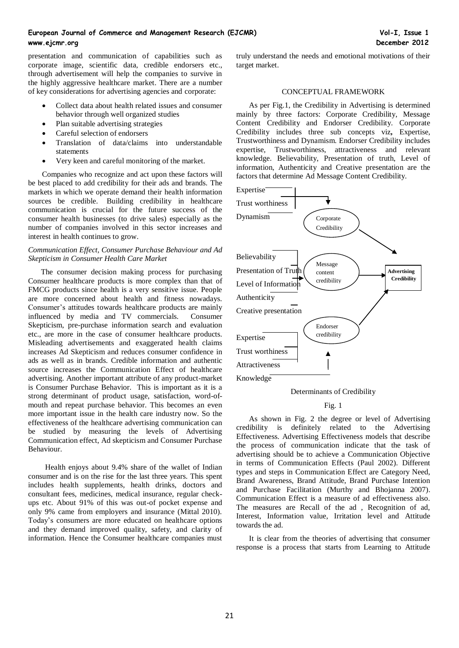presentation and communication of capabilities such as corporate image, scientific data, credible endorsers etc., through advertisement will help the companies to survive in the highly aggressive healthcare market. There are a number of key considerations for advertising agencies and corporate:

- Collect data about health related issues and consumer behavior through well organized studies
- Plan suitable advertising strategies
- Careful selection of endorsers
- Translation of data/claims into understandable statements
- Very keen and careful monitoring of the market.

Companies who recognize and act upon these factors will be best placed to add credibility for their ads and brands. The markets in which we operate demand their health information sources be credible. Building credibility in healthcare communication is crucial for the future success of the consumer health businesses (to drive sales) especially as the number of companies involved in this sector increases and interest in health continues to grow.

## *Communication Effect, Consumer Purchase Behaviour and Ad Skepticism in Consumer Health Care Market*

The consumer decision making process for purchasing Consumer healthcare products is more complex than that of FMCG products since health is a very sensitive issue. People are more concerned about health and fitness nowadays. Consumer's attitudes towards healthcare products are mainly influenced by media and TV commercials. Consumer Skepticism, pre-purchase information search and evaluation etc., are more in the case of consumer healthcare products. Misleading advertisements and exaggerated health claims increases Ad Skepticism and reduces consumer confidence in ads as well as in brands. Credible information and authentic source increases the Communication Effect of healthcare advertising. Another important attribute of any product-market is Consumer Purchase Behavior. This is important as it is a strong determinant of product usage, satisfaction, word-ofmouth and repeat purchase behavior. This becomes an even more important issue in the health care industry now. So the effectiveness of the healthcare advertising communication can be studied by measuring the levels of Advertising Communication effect, Ad skepticism and Consumer Purchase Behaviour.

Health enjoys about 9.4% share of the wallet of Indian consumer and is on the rise for the last three years. This spent includes health supplements, health drinks, doctors and consultant fees, medicines, medical insurance, regular checkups etc. About 91% of this was out-of pocket expense and only 9% came from employers and insurance (Mittal 2010). Today's consumers are more educated on healthcare options and they demand improved quality, safety, and clarity of information. Hence the Consumer healthcare companies must

truly understand the needs and emotional motivations of their target market.

## CONCEPTUAL FRAMEWORK

As per Fig.1, the Credibility in Advertising is determined mainly by three factors: Corporate Credibility, Message Content Credibility and Endorser Credibility. Corporate Credibility includes three sub concepts viz**,** Expertise, Trustworthiness and Dynamism. Endorser Credibility includes expertise, Trustworthiness, attractiveness and relevant knowledge. Believability, Presentation of truth, Level of information, Authenticity and Creative presentation are the factors that determine Ad Message Content Credibility.



Determinants of Credibility

## Fig. 1

As shown in Fig. 2 the degree or level of Advertising credibility is definitely related to the Advertising Effectiveness. Advertising Effectiveness models that describe the process of communication indicate that the task of advertising should be to achieve a Communication Objective in terms of Communication Effects (Paul 2002). Different types and steps in Communication Effect are Category Need, Brand Awareness, Brand Attitude, Brand Purchase Intention and Purchase Facilitation (Murthy and Bhojanna 2007). Communication Effect is a measure of ad effectiveness also. The measures are Recall of the ad , Recognition of ad, Interest, Information value, Irritation level and Attitude towards the ad.

It is clear from the theories of advertising that consumer response is a process that starts from Learning to Attitude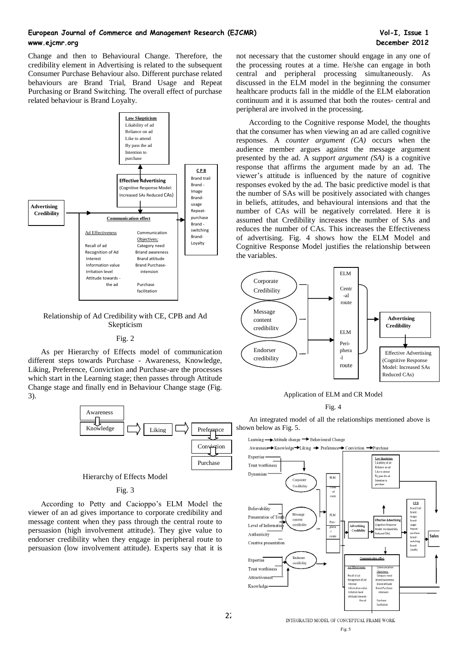Change and then to Behavioural Change. Therefore, the credibility element in Advertising is related to the subsequent Consumer Purchase Behaviour also. Different purchase related behaviours are Brand Trial, Brand Usage and Repeat Purchasing or Brand Switching. The overall effect of purchase related behaviour is Brand Loyalty.



## Relationship of Ad Credibility with CE, CPB and Ad Skepticism

#### Fig. 2

As per Hierarchy of Effects model of communication different steps towards Purchase - Awareness, Knowledge, Liking, Preference, Conviction and Purchase-are the processes which start in the Learning stage; then passes through Attitude Change stage and finally end in Behaviour Change stage (Fig. 3).



Hierarchy of Effects Model

## Fig. 3

According to Petty and Cacioppo's ELM Model the viewer of an ad gives importance to corporate credibility and message content when they pass through the central route to persuasion (high involvement attitude). They give value to endorser credibility when they engage in peripheral route to persuasion (low involvement attitude). Experts say that it is

not necessary that the customer should engage in any one of the processing routes at a time. He/she can engage in both central and peripheral processing simultaneously. As discussed in the ELM model in the beginning the consumer healthcare products fall in the middle of the ELM elaboration continuum and it is assumed that both the routes- central and peripheral are involved in the processing.

According to the Cognitive response Model, the thoughts that the consumer has when viewing an ad are called cognitive responses. A *counter argument (CA)* occurs when the audience member argues against the message argument presented by the ad. A *support argument (SA)* is a cognitive response that affirms the argument made by an ad. The viewer's attitude is influenced by the nature of cognitive responses evoked by the ad. The basic predictive model is that the number of SAs will be positively associated with changes in beliefs, attitudes, and behavioural intensions and that the number of CAs will be negatively correlated. Here it is assumed that Credibility increases the number of SAs and reduces the number of CAs. This increases the Effectiveness of advertising. Fig. 4 shows how the ELM Model and Cognitive Response Model justifies the relationship between the variables.



#### Application of ELM and CR Model

#### Fig. 4

An integrated model of all the relationships mentioned above is shown below as Fig. 5.

Learning  $\longrightarrow$  Attitude change  $\longrightarrow$  Behavioural Change

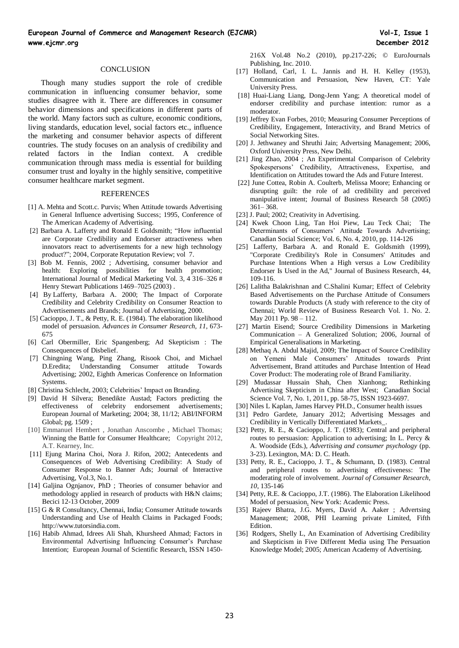#### **CONCLUSION**

Though many studies support the role of credible communication in influencing consumer behavior, some studies disagree with it. There are differences in consumer behavior dimensions and specifications in different parts of the world. Many factors such as culture, economic conditions, living standards, education level, social factors etc., influence the marketing and consumer behavior aspects of different countries. The study focuses on an analysis of credibility and related factors in the Indian context. A credible communication through mass media is essential for building consumer trust and loyalty in the highly sensitive, competitive consumer healthcare market segment.

#### **REFERENCES**

- [1] A. Mehta and Scott.c. Purvis; When Attitude towards Advertising in General Influence advertising Success; 1995, Conference of The American Academy of Advertising.
- [2] Barbara A. Lafferty and Ronald E Goldsmith; "How influential are Corporate Credibility and Endorser attractiveness when innovators react to advertisements for a new high technology product?"; 2004, Corporate Reputation Review; vol 7.
- [3] Bob M. Fennis, 2002 ; Advertising, consumer behavior and health: Exploring possibilities for health promotion; International Journal of Medical Marketing Vol. 3, 4 316–326 # Henry Stewart Publications 1469-7025 (2003).
- [4] By Lafferty, Barbara A. 2000; The Impact of Corporate Credibility and Celebrity Credibility on Consumer Reaction to Advertisements and Brands; Journal of Advertising, 2000.
- [5] Cacioppo, J. T., & Petty, R. E. (1984). The elaboration likelihood model of persuasion. *Advances in Consumer Research, 11*, 673- 675
- [6] Carl Obermiller, Eric Spangenberg; Ad Skepticism : The Consequences of Disbelief.
- [7] Chingning Wang, Ping Zhang, Risook Choi, and Michael D.Eredita; Understanding Consumer attitude Towards Advertising; 2002, Eighth Americas Conference on Information Systems.
- [8] Christina Schlecht, 2003; Celebrities' Impact on Branding.
- [9] David H Silvera; Benedikte Austad; Factors predicting the effectiveness of celebrity endorsement advertisements; European Journal of Marketing; 2004; 38, 11/12; ABI/INFORM Global; pg. 1509 ;
- [10] Emmanuel Hembert, Jonathan Anscombe, Michael Thomas; Winning the Battle for Consumer Healthcare; Copyright 2012, A.T. Kearney, Inc.
- [11] Ejung Marina Choi, Nora J. Rifon, 2002; Antecedents and Consequences of Web Advertising Credibility: A Study of Consumer Response to Banner Ads; Journal of Interactive Advertising, Vol.3, No.1.
- [14] Galjina Ognjanov, PhD ; Theories of consumer behavior and methodology applied in research of products with H&N claims; Becici 12-13 October, 2009
- [15] G & R Consultancy, Chennai, India; Consumer Attitude towards Understanding and Use of Health Claims in Packaged Foods; http://www.tutorsindia.com.
- [16] Habib Ahmad, Idrees Ali Shah, Khursheed Ahmad; Factors in Environmental Advertising Influencing Consumer's Purchase Intention; European Journal of Scientific Research, ISSN 1450-

216X Vol.48 No.2 (2010), pp.217-226; © EuroJournals Publishing, Inc. 2010.

- [17] Holland, Carl, I. L. Jannis and H. H. Kelley (1953), Communication and Persuasion, New Haven, CT: Yale University Press.
- [18] Huai-Liang Liang, Dong-Jenn Yang; A theoretical model of endorser credibility and purchase intention: rumor as a moderator.
- [19] Jeffrey Evan Forbes, 2010; Measuring Consumer Perceptions of Credibility, Engagement, Interactivity, and Brand Metrics of Social Networking Sites.
- [20] J. Jethwaney and Shruthi Jain; Advertsing Management; 2006, Oxford University Press, New Delhi.
- [21] Jing Zhao, 2004 ; An Experimental Comparison of Celebrity Spokespersons' Credibility, Attractiveness, Expertise, and Identification on Attitudes toward the Ads and Future Interest.
- [22] June Cottea, Robin A. Coulterb, Melissa Moore; Enhancing or disrupting guilt: the role of ad credibility and perceived manipulative intent; Journal of Business Research 58 (2005) 361– 368.
- [23] J. Paul; 2002; Creativity in Advertising.
- [24] Kwek Choon Ling, Tan Hoi Piew, Lau Teck Chai; The Determinants of Consumers' Attitude Towards Advertising; Canadian Social Science; Vol. 6, No. 4, 2010, pp. 114-126
- [25] Lafferty, Barbara A. and Ronald E. Goldsmith (1999), "Corporate Credibility's Role in Consumers' Attitudes and Purchase Intentions When a High versus a Low Credibility Endorser Is Used in the Ad," Journal of Business Research, 44, 109-116.
- [26] Lalitha Balakrishnan and C.Shalini Kumar; Effect of Celebrity Based Advertisements on the Purchase Attitude of Consumers towards Durable Products (A study with reference to the city of Chennai; World Review of Business Research Vol. 1. No. 2. May 2011 Pp. 98 – 112.
- [27] Martin Eisend; Source Credibility Dimensions in Marketing Communication – A Generalized Solution; 2006, Journal of Empirical Generalisations in Marketing.
- [28] Methaq A. Abdul Majid, 2009; The Impact of Source Credibility on Yemeni Male Consumers' Attitudes towards Print Advertisement, Brand attitudes and Purchase Intention of Head Cover Product: The moderating role of Brand Familiarity.
- [29] Mudassar Hussain Shah, Chen Xianhong; Rethinking Advertising Skepticism in China after West; Canadian Social Science Vol. 7, No. 1, 2011, pp. 58-75, ISSN 1923-6697.
- [30] Niles L Kaplan, James Harvey PH.D., Consumer health issues
- [31] Pedro Gardete, January 2012; Advertising Messages and Credibility in Vertically Differentiated Markets\_.
- [32] Petty, R. E., & Cacioppo, J. T. (1983); Central and peripheral routes to persuasion: Application to advertising; In L. Percy & A. Woodside (Eds.), *Advertising and consumer psychology* (pp. 3-23). Lexington, MA: D. C. Heath.
- [33] Petty, R. E., Cacioppo, J. T., & Schumann, D. (1983). Central and peripheral routes to advertising effectiveness: The moderating role of involvement. *Journal of Consumer Research, 10*, 135-146
- [34] Petty, R.E. & Cacioppo, J.T. (1986). The Elaboration Likelihood Model of persuasion. New York: Academic Press.
- [35] Rajeev Bhatra, J.G. Myers, David A. Aaker ; Advertsing Management; 2008, PHI Learning private Limited, Fifth Edition.
- [36] Rodgers, Shelly L, An Examination of Advertising Credibility and Skepticism in Five Different Media using The Persuation Knowledge Model; 2005; American Academy of Advertising.